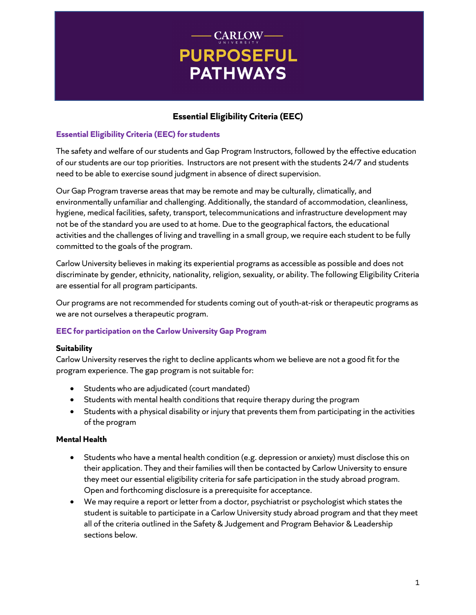# - CARLOW-**PURPOSEFUL PATHWAYS**

# **Essential Eligibility Criteria (EEC)**

# **Essential Eligibility Criteria (EEC) for students**

The safety and welfare of our students and Gap Program Instructors, followed by the effective education of our students are our top priorities. Instructors are not present with the students 24/7 and students need to be able to exercise sound judgment in absence of direct supervision.

Our Gap Program traverse areas that may be remote and may be culturally, climatically, and environmentally unfamiliar and challenging. Additionally, the standard of accommodation, cleanliness, hygiene, medical facilities, safety, transport, telecommunications and infrastructure development may not be of the standard you are used to at home. Due to the geographical factors, the educational activities and the challenges of living and travelling in a small group, we require each student to be fully committed to the goals of the program.

Carlow University believes in making its experiential programs as accessible as possible and does not discriminate by gender, ethnicity, nationality, religion, sexuality, or ability. The following Eligibility Criteria are essential for all program participants.

Our programs are not recommended for students coming out of youth-at-risk or therapeutic programs as we are not ourselves a therapeutic program.

# **EEC for participation on the Carlow University Gap Program**

# **Suitability**

Carlow University reserves the right to decline applicants whom we believe are not a good fit for the program experience. The gap program is not suitable for:

- Students who are adjudicated (court mandated)
- Students with mental health conditions that require therapy during the program
- Students with a physical disability or injury that prevents them from participating in the activities of the program

# **Mental Health**

- Students who have a mental health condition (e.g. depression or anxiety) must disclose this on their application. They and their families will then be contacted by Carlow University to ensure they meet our essential eligibility criteria for safe participation in the study abroad program. Open and forthcoming disclosure is a prerequisite for acceptance.
- We may require a report or letter from a doctor, psychiatrist or psychologist which states the student is suitable to participate in a Carlow University study abroad program and that they meet all of the criteria outlined in the Safety & Judgement and Program Behavior & Leadership sections below.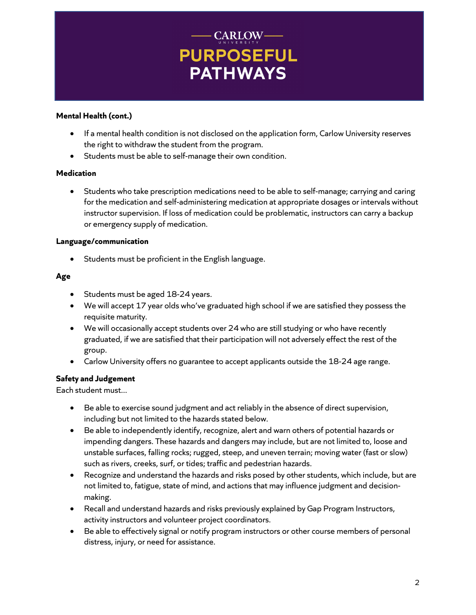# **CARLOW-PURPOSEFUL PATHWAYS**

#### **Mental Health (cont.)**

- If a mental health condition is not disclosed on the application form, Carlow University reserves the right to withdraw the student from the program.
- Students must be able to self-manage their own condition.

#### **Medication**

• Students who take prescription medications need to be able to self-manage; carrying and caring for the medication and self-administering medication at appropriate dosages or intervals without instructor supervision. If loss of medication could be problematic, instructors can carry a backup or emergency supply of medication.

#### **Language/communication**

Students must be proficient in the English language.

# **Age**

- Students must be aged 18-24 years.
- We will accept 17 year olds who've graduated high school if we are satisfied they possess the requisite maturity.
- We will occasionally accept students over 24 who are still studying or who have recently graduated, if we are satisfied that their participation will not adversely effect the rest of the group.
- Carlow University offers no guarantee to accept applicants outside the 18-24 age range.

# **Safety and Judgement**

Each student must...

- Be able to exercise sound judgment and act reliably in the absence of direct supervision, including but not limited to the hazards stated below.
- Be able to independently identify, recognize, alert and warn others of potential hazards or impending dangers. These hazards and dangers may include, but are not limited to, loose and unstable surfaces, falling rocks; rugged, steep, and uneven terrain; moving water (fast or slow) such as rivers, creeks, surf, or tides; traffic and pedestrian hazards.
- Recognize and understand the hazards and risks posed by other students, which include, but are not limited to, fatigue, state of mind, and actions that may influence judgment and decisionmaking.
- Recall and understand hazards and risks previously explained by Gap Program Instructors, activity instructors and volunteer project coordinators.
- Be able to effectively signal or notify program instructors or other course members of personal distress, injury, or need for assistance.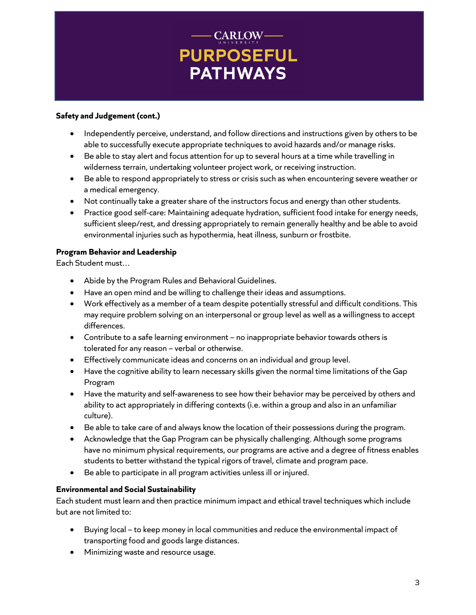# - CARLOW-**PURPOSEFUL PATHWAYS**

#### **Safety and Judgement (cont.)**

- Independently perceive, understand, and follow directions and instructions given by others to be able to successfully execute appropriate techniques to avoid hazards and/or manage risks.
- Be able to stay alert and focus attention for up to several hours at a time while travelling in wilderness terrain, undertaking volunteer project work, or receiving instruction.
- Be able to respond appropriately to stress or crisis such as when encountering severe weather or a medical emergency.
- Not continually take a greater share of the instructors focus and energy than other students.
- Practice good self-care: Maintaining adequate hydration, sufficient food intake for energy needs, sufficient sleep/rest, and dressing appropriately to remain generally healthy and be able to avoid environmental injuries such as hypothermia, heat illness, sunburn or frostbite.

#### **Program Behavior and Leadership**

Each Student must…

- Abide by the Program Rules and Behavioral Guidelines.
- Have an open mind and be willing to challenge their ideas and assumptions.
- Work effectively as a member of a team despite potentially stressful and difficult conditions. This may require problem solving on an interpersonal or group level as well as a willingness to accept differences.
- Contribute to a safe learning environment no inappropriate behavior towards others is tolerated for any reason – verbal or otherwise.
- Effectively communicate ideas and concerns on an individual and group level.
- Have the cognitive ability to learn necessary skills given the normal time limitations of the Gap Program
- Have the maturity and self-awareness to see how their behavior may be perceived by others and ability to act appropriately in differing contexts (i.e. within a group and also in an unfamiliar culture).
- Be able to take care of and always know the location of their possessions during the program.
- Acknowledge that the Gap Program can be physically challenging. Although some programs have no minimum physical requirements, our programs are active and a degree of fitness enables students to better withstand the typical rigors of travel, climate and program pace.
- Be able to participate in all program activities unless ill or injured.

#### **Environmental and Social Sustainability**

Each student must learn and then practice minimum impact and ethical travel techniques which include but are not limited to:

- Buying local to keep money in local communities and reduce the environmental impact of transporting food and goods large distances.
- Minimizing waste and resource usage.